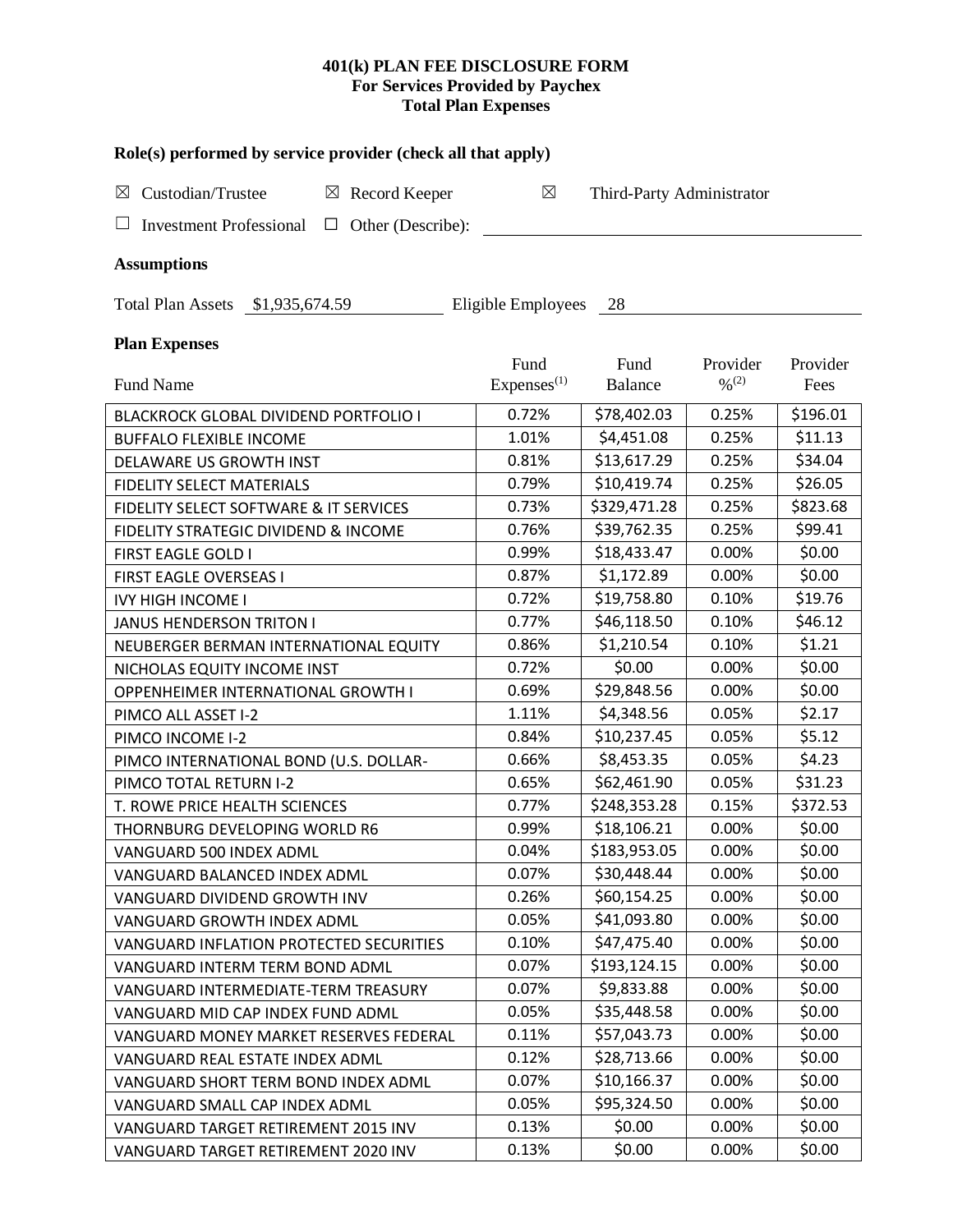# **401(k) PLAN FEE DISCLOSURE FORM For Services Provided by Paychex Total Plan Expenses**

| Role(s) performed by service provider (check all that apply)       |                        |                           |                              |          |  |  |  |
|--------------------------------------------------------------------|------------------------|---------------------------|------------------------------|----------|--|--|--|
| Custodian/Trustee<br>$\boxtimes$ Record Keeper<br>⊠                | $\boxtimes$            | Third-Party Administrator |                              |          |  |  |  |
| ⊔<br><b>Investment Professional</b><br>Other (Describe):<br>$\Box$ |                        |                           |                              |          |  |  |  |
| <b>Assumptions</b>                                                 |                        |                           |                              |          |  |  |  |
| Total Plan Assets \$1,935,674.59                                   | Eligible Employees     | - 28                      |                              |          |  |  |  |
| <b>Plan Expenses</b>                                               |                        |                           |                              |          |  |  |  |
|                                                                    | Fund                   | Fund                      | Provider                     | Provider |  |  |  |
| <b>Fund Name</b>                                                   | Express <sup>(1)</sup> | <b>Balance</b>            | $\frac{0}{2}$ <sup>(2)</sup> | Fees     |  |  |  |
| BLACKROCK GLOBAL DIVIDEND PORTFOLIO I                              | 0.72%                  | \$78,402.03               | 0.25%                        | \$196.01 |  |  |  |
| <b>BUFFALO FLEXIBLE INCOME</b>                                     | 1.01%                  | \$4,451.08                | 0.25%                        | \$11.13  |  |  |  |
| DELAWARE US GROWTH INST                                            | 0.81%                  | \$13,617.29               | 0.25%                        | \$34.04  |  |  |  |
| <b>FIDELITY SELECT MATERIALS</b>                                   | 0.79%                  | \$10,419.74               | 0.25%                        | \$26.05  |  |  |  |
| FIDELITY SELECT SOFTWARE & IT SERVICES                             | 0.73%                  | \$329,471.28              | 0.25%                        | \$823.68 |  |  |  |
| FIDELITY STRATEGIC DIVIDEND & INCOME                               | 0.76%                  | \$39,762.35               | 0.25%                        | \$99.41  |  |  |  |
| FIRST EAGLE GOLD I                                                 | 0.99%                  | \$18,433.47               | 0.00%                        | \$0.00   |  |  |  |
| FIRST EAGLE OVERSEAS I                                             | 0.87%                  | \$1,172.89                | 0.00%                        | \$0.00   |  |  |  |
| <b>IVY HIGH INCOME I</b>                                           | 0.72%                  | \$19,758.80               | 0.10%                        | \$19.76  |  |  |  |
| <b>JANUS HENDERSON TRITON I</b>                                    | 0.77%                  | \$46,118.50               | 0.10%                        | \$46.12  |  |  |  |
| NEUBERGER BERMAN INTERNATIONAL EQUITY                              | 0.86%                  | \$1,210.54                | 0.10%                        | \$1.21   |  |  |  |
| NICHOLAS EQUITY INCOME INST                                        | 0.72%                  | \$0.00                    | 0.00%                        | \$0.00   |  |  |  |
| OPPENHEIMER INTERNATIONAL GROWTH I                                 | 0.69%                  | \$29,848.56               | 0.00%                        | \$0.00   |  |  |  |
| PIMCO ALL ASSET I-2                                                | 1.11%                  | \$4,348.56                | 0.05%                        | \$2.17   |  |  |  |
| PIMCO INCOME I-2                                                   | 0.84%                  | \$10,237.45               | 0.05%                        | \$5.12   |  |  |  |
| PIMCO INTERNATIONAL BOND (U.S. DOLLAR-                             | 0.66%                  | \$8,453.35                | 0.05%                        | \$4.23   |  |  |  |
| PIMCO TOTAL RETURN I-2                                             | 0.65%                  | \$62,461.90               | 0.05%                        | \$31.23  |  |  |  |
| T. ROWE PRICE HEALTH SCIENCES                                      | 0.77%                  | \$248,353.28              | 0.15%                        | \$372.53 |  |  |  |
| THORNBURG DEVELOPING WORLD R6                                      | 0.99%                  | \$18,106.21               | 0.00%                        | \$0.00   |  |  |  |
| VANGUARD 500 INDEX ADML                                            | 0.04%                  | \$183,953.05              | 0.00%                        | \$0.00   |  |  |  |
| VANGUARD BALANCED INDEX ADML                                       | 0.07%                  | \$30,448.44               | 0.00%                        | \$0.00   |  |  |  |
| VANGUARD DIVIDEND GROWTH INV                                       | 0.26%                  | \$60,154.25               | 0.00%                        | \$0.00   |  |  |  |
| VANGUARD GROWTH INDEX ADML                                         | 0.05%                  | \$41,093.80               | 0.00%                        | \$0.00   |  |  |  |
| VANGUARD INFLATION PROTECTED SECURITIES                            | 0.10%                  | \$47,475.40               | 0.00%                        | \$0.00   |  |  |  |
| VANGUARD INTERM TERM BOND ADML                                     | 0.07%                  | \$193,124.15              | 0.00%                        | \$0.00   |  |  |  |
| VANGUARD INTERMEDIATE-TERM TREASURY                                | 0.07%                  | \$9,833.88                | 0.00%                        | \$0.00   |  |  |  |
| VANGUARD MID CAP INDEX FUND ADML                                   | 0.05%                  | \$35,448.58               | 0.00%                        | \$0.00   |  |  |  |
| VANGUARD MONEY MARKET RESERVES FEDERAL                             | 0.11%                  | \$57,043.73               | 0.00%                        | \$0.00   |  |  |  |
| VANGUARD REAL ESTATE INDEX ADML                                    | 0.12%                  | \$28,713.66               | 0.00%                        | \$0.00   |  |  |  |
| VANGUARD SHORT TERM BOND INDEX ADML                                | 0.07%                  | \$10,166.37               | 0.00%                        | \$0.00   |  |  |  |
| VANGUARD SMALL CAP INDEX ADML                                      | 0.05%                  | \$95,324.50               | 0.00%                        | \$0.00   |  |  |  |
| VANGUARD TARGET RETIREMENT 2015 INV                                | 0.13%                  | \$0.00                    | 0.00%                        | \$0.00   |  |  |  |
| VANGUARD TARGET RETIREMENT 2020 INV                                | 0.13%                  | \$0.00                    | 0.00%                        | \$0.00   |  |  |  |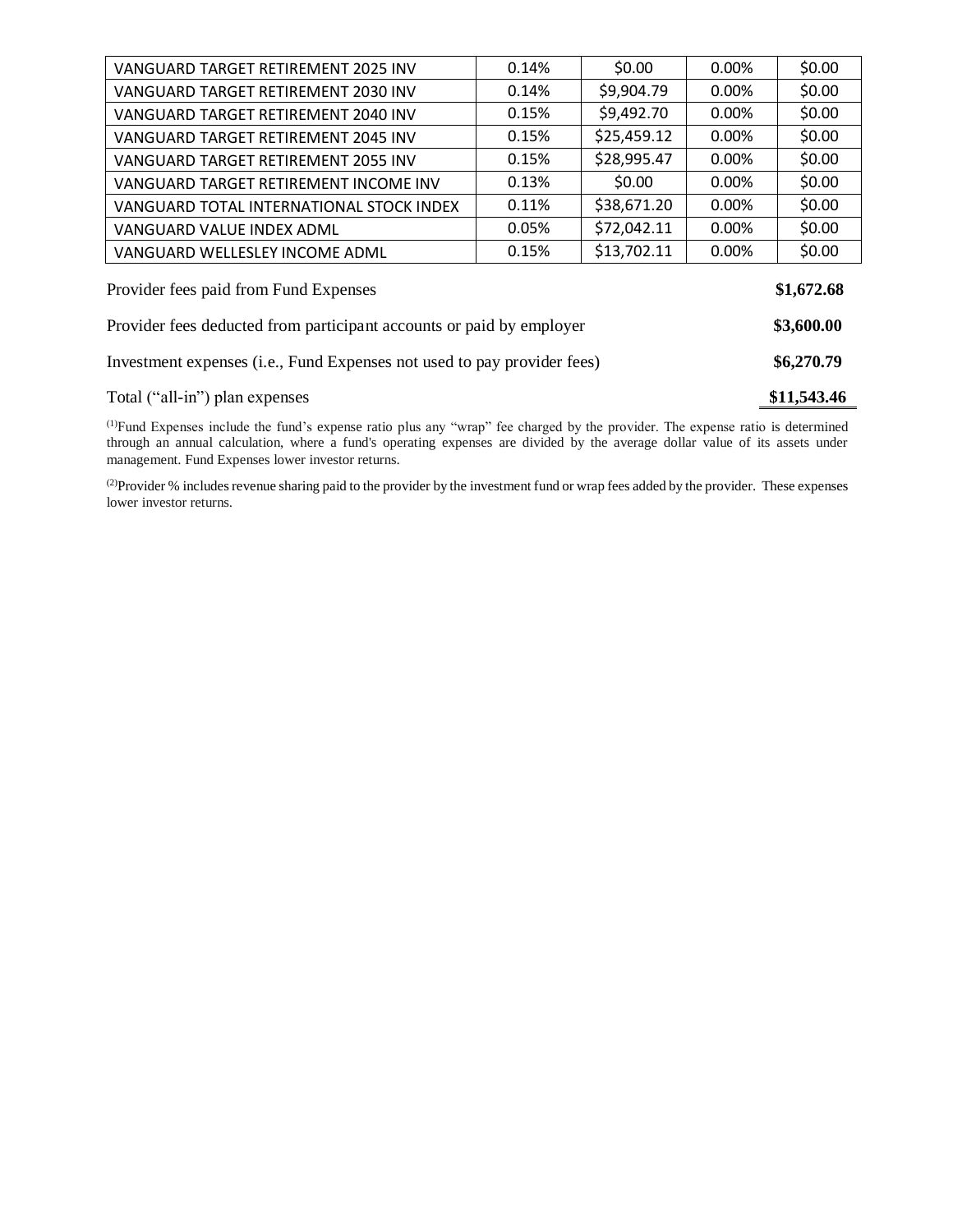| Provider fees deducted from participant accounts or paid by employer |       |             |       |            |
|----------------------------------------------------------------------|-------|-------------|-------|------------|
| Provider fees paid from Fund Expenses<br>\$3,600.00                  |       |             |       |            |
|                                                                      |       |             |       | \$1,672.68 |
| VANGUARD WELLESLEY INCOME ADML                                       | 0.15% | \$13,702.11 | 0.00% | \$0.00     |
| VANGUARD VALUE INDEX ADML                                            | 0.05% | \$72,042.11 | 0.00% | \$0.00     |
| VANGUARD TOTAL INTERNATIONAL STOCK INDEX                             | 0.11% | \$38,671.20 | 0.00% | \$0.00     |
| VANGUARD TARGET RETIREMENT INCOME INV                                | 0.13% | \$0.00      | 0.00% | \$0.00     |
| VANGUARD TARGET RETIREMENT 2055 INV                                  | 0.15% | \$28,995.47 | 0.00% | \$0.00     |
| VANGUARD TARGET RETIREMENT 2045 INV                                  | 0.15% | \$25,459.12 | 0.00% | \$0.00     |
| VANGUARD TARGET RETIREMENT 2040 INV                                  | 0.15% | \$9,492.70  | 0.00% | \$0.00     |
| VANGUARD TARGET RETIREMENT 2030 INV                                  | 0.14% | \$9,904.79  | 0.00% | \$0.00     |
| VANGUARD TARGET RETIREMENT 2025 INV                                  | 0.14% | \$0.00      | 0.00% | \$0.00     |

(1)Fund Expenses include the fund's expense ratio plus any "wrap" fee charged by the provider. The expense ratio is determined through an annual calculation, where a fund's operating expenses are divided by the average dollar value of its assets under management. Fund Expenses lower investor returns.

Total ("all-in") plan expenses **\$11,543.46** 

(2) Provider % includes revenue sharing paid to the provider by the investment fund or wrap fees added by the provider. These expenses lower investor returns.